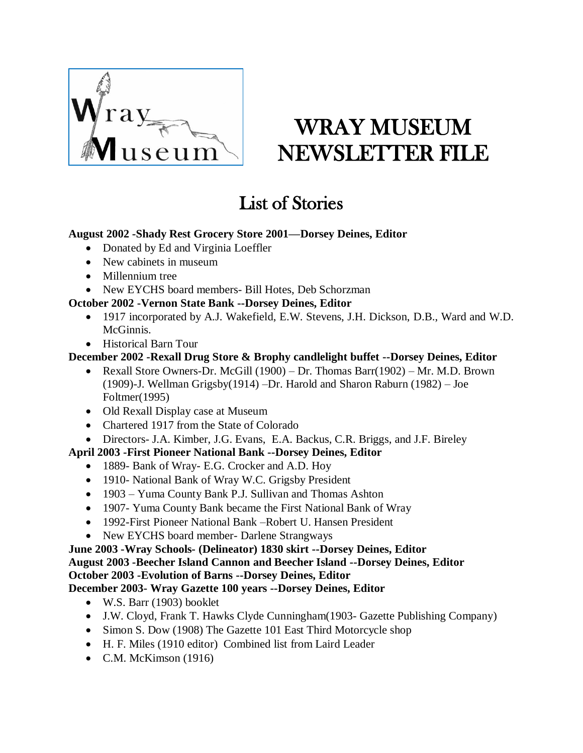

# WRAY MUSEUM NEWSLETTER FILE

# List of Stories

#### **August 2002 -Shady Rest Grocery Store 2001—Dorsey Deines, Editor**

- Donated by Ed and Virginia Loeffler
- New cabinets in museum
- Millennium tree
- New EYCHS board members- Bill Hotes, Deb Schorzman

#### **October 2002 -Vernon State Bank --Dorsey Deines, Editor**

- 1917 incorporated by A.J. Wakefield, E.W. Stevens, J.H. Dickson, D.B., Ward and W.D. McGinnis.
- Historical Barn Tour

# **December 2002 -Rexall Drug Store & Brophy candlelight buffet --Dorsey Deines, Editor**

- Rexall Store Owners-Dr. McGill (1900) Dr. Thomas Barr(1902) Mr. M.D. Brown (1909)-J. Wellman Grigsby(1914) –Dr. Harold and Sharon Raburn (1982) – Joe Foltmer(1995)
- Old Rexall Display case at Museum
- Chartered 1917 from the State of Colorado
- Directors- J.A. Kimber, J.G. Evans, E.A. Backus, C.R. Briggs, and J.F. Bireley

# **April 2003 -First Pioneer National Bank --Dorsey Deines, Editor**

- 1889- Bank of Wray- E.G. Crocker and A.D. Hoy
- 1910- National Bank of Wray W.C. Grigsby President
- 1903 Yuma County Bank P.J. Sullivan and Thomas Ashton
- 1907- Yuma County Bank became the First National Bank of Wray
- 1992-First Pioneer National Bank –Robert U. Hansen President
- New EYCHS board member- Darlene Strangways

#### **June 2003 -Wray Schools- (Delineator) 1830 skirt --Dorsey Deines, Editor August 2003 -Beecher Island Cannon and Beecher Island --Dorsey Deines, Editor October 2003 -Evolution of Barns --Dorsey Deines, Editor December 2003- Wray Gazette 100 years --Dorsey Deines, Editor**

- W.S. Barr (1903) booklet
- J.W. Cloyd, Frank T. Hawks Clyde Cunningham(1903- Gazette Publishing Company)
- Simon S. Dow (1908) The Gazette 101 East Third Motorcycle shop
- H. F. Miles (1910 editor) Combined list from Laird Leader
- $\bullet$  C.M. McKimson (1916)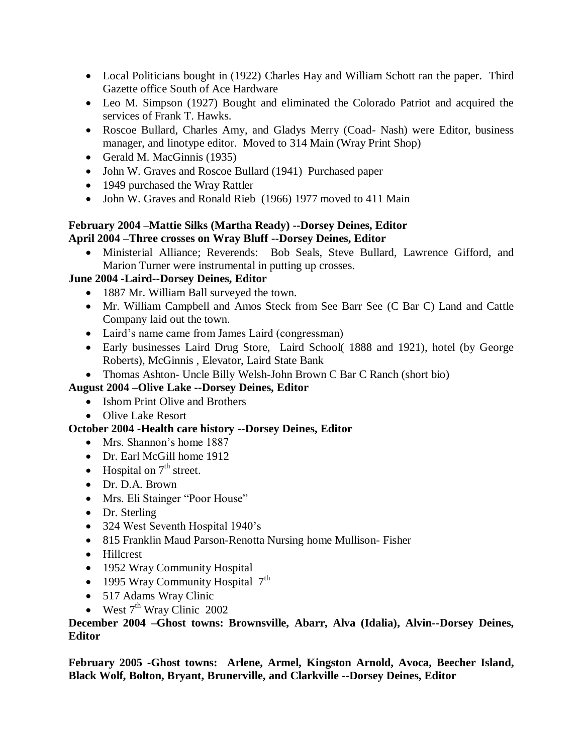- Local Politicians bought in (1922) Charles Hay and William Schott ran the paper. Third Gazette office South of Ace Hardware
- Leo M. Simpson (1927) Bought and eliminated the Colorado Patriot and acquired the services of Frank T. Hawks.
- Roscoe Bullard, Charles Amy, and Gladys Merry (Coad- Nash) were Editor, business manager, and linotype editor. Moved to 314 Main (Wray Print Shop)
- Gerald M. MacGinnis (1935)
- John W. Graves and Roscoe Bullard (1941) Purchased paper
- 1949 purchased the Wray Rattler
- John W. Graves and Ronald Rieb (1966) 1977 moved to 411 Main

# **February 2004 –Mattie Silks (Martha Ready) --Dorsey Deines, Editor April 2004 –Three crosses on Wray Bluff --Dorsey Deines, Editor**

 Ministerial Alliance; Reverends: Bob Seals, Steve Bullard, Lawrence Gifford, and Marion Turner were instrumental in putting up crosses.

# **June 2004 -Laird--Dorsey Deines, Editor**

- 1887 Mr. William Ball surveyed the town.
- Mr. William Campbell and Amos Steck from See Barr See (C Bar C) Land and Cattle Company laid out the town.
- Laird's name came from James Laird (congressman)
- Early businesses Laird Drug Store, Laird School (1888 and 1921), hotel (by George Roberts), McGinnis , Elevator, Laird State Bank
- Thomas Ashton- Uncle Billy Welsh-John Brown C Bar C Ranch (short bio)

# **August 2004 –Olive Lake --Dorsey Deines, Editor**

- Ishom Print Olive and Brothers
- Olive Lake Resort

# **October 2004 -Health care history --Dorsey Deines, Editor**

- Mrs. Shannon's home 1887
- Dr. Earl McGill home 1912
- Hospital on  $7<sup>th</sup>$  street.
- Dr. D.A. Brown
- Mrs. Eli Stainger "Poor House"
- Dr. Sterling
- 324 West Seventh Hospital 1940's
- 815 Franklin Maud Parson-Renotta Nursing home Mullison- Fisher
- Hillcrest
- 1952 Wray Community Hospital
- $\bullet$  1995 Wray Community Hospital  $7<sup>th</sup>$
- 517 Adams Wray Clinic
- $\bullet$  West  $7<sup>th</sup>$  Wray Clinic 2002

#### **December 2004 –Ghost towns: Brownsville, Abarr, Alva (Idalia), Alvin--Dorsey Deines, Editor**

**February 2005 -Ghost towns: Arlene, Armel, Kingston Arnold, Avoca, Beecher Island, Black Wolf, Bolton, Bryant, Brunerville, and Clarkville --Dorsey Deines, Editor**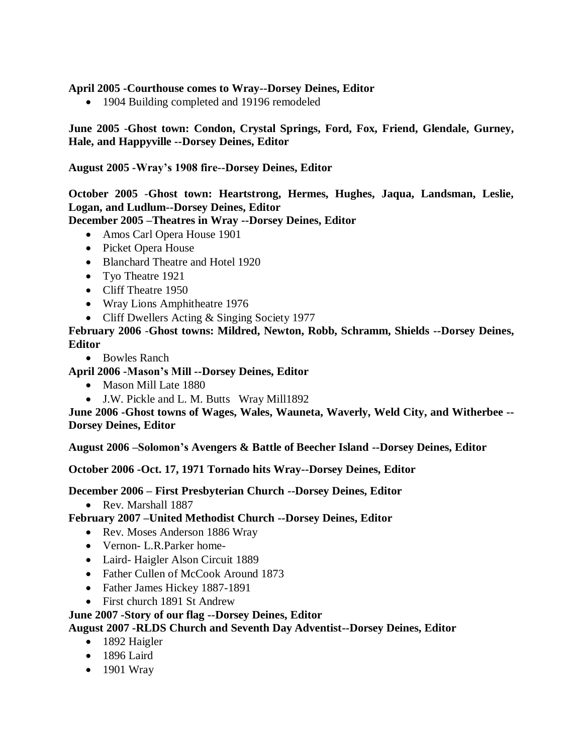#### **April 2005 -Courthouse comes to Wray--Dorsey Deines, Editor**

• 1904 Building completed and 19196 remodeled

#### **June 2005** -**Ghost town: Condon, Crystal Springs, Ford, Fox, Friend, Glendale, Gurney, Hale, and Happyville --Dorsey Deines, Editor**

#### **August 2005 -Wray's 1908 fire--Dorsey Deines, Editor**

**October 2005** -**Ghost town: Heartstrong, Hermes, Hughes, Jaqua, Landsman, Leslie, Logan, and Ludlum--Dorsey Deines, Editor**

**December 2005 –Theatres in Wray --Dorsey Deines, Editor**

- Amos Carl Opera House 1901
- Picket Opera House
- Blanchard Theatre and Hotel 1920
- Tyo Theatre 1921
- Cliff Theatre 1950
- Wray Lions Amphitheatre 1976
- Cliff Dwellers Acting & Singing Society 1977

**February 2006** -**Ghost towns: Mildred, Newton, Robb, Schramm, Shields --Dorsey Deines, Editor**

• Bowles Ranch

**April 2006 -Mason's Mill --Dorsey Deines, Editor**

- Mason Mill Late 1880
- J.W. Pickle and L. M. Butts Wray Mill1892

**June 2006 -Ghost towns of Wages, Wales, Wauneta, Waverly, Weld City, and Witherbee -- Dorsey Deines, Editor**

**August 2006 –Solomon's Avengers & Battle of Beecher Island --Dorsey Deines, Editor**

**October 2006 -Oct. 17, 1971 Tornado hits Wray--Dorsey Deines, Editor**

**December 2006 – First Presbyterian Church --Dorsey Deines, Editor**

• Rev. Marshall 1887

**February 2007 –United Methodist Church --Dorsey Deines, Editor**

- Rev. Moses Anderson 1886 Wray
- Vernon- L.R.Parker home-
- Laird- Haigler Alson Circuit 1889
- Father Cullen of McCook Around 1873
- Father James Hickey 1887-1891
- First church 1891 St Andrew

#### **June 2007 -Story of our flag --Dorsey Deines, Editor**

**August 2007 -RLDS Church and Seventh Day Adventist--Dorsey Deines, Editor**

- 1892 Haigler
- $\bullet$  1896 Laird
- 1901 Wray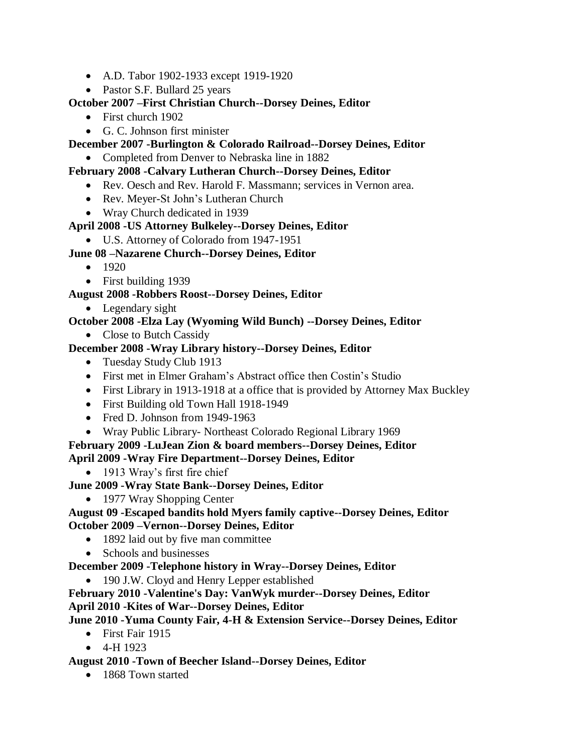- A.D. Tabor 1902-1933 except 1919-1920
- Pastor S.F. Bullard 25 years

# **October 2007 –First Christian Church--Dorsey Deines, Editor**

- First church 1902
- G. C. Johnson first minister

# **December 2007 -Burlington & Colorado Railroad--Dorsey Deines, Editor**

Completed from Denver to Nebraska line in 1882

# **February 2008 -Calvary Lutheran Church--Dorsey Deines, Editor**

- Rev. Oesch and Rev. Harold F. Massmann; services in Vernon area.
- Rev. Meyer-St John's Lutheran Church
- Wray Church dedicated in 1939

# **April 2008 -US Attorney Bulkeley--Dorsey Deines, Editor**

U.S. Attorney of Colorado from 1947-1951

# **June 08 –Nazarene Church--Dorsey Deines, Editor**

- $1920$
- First building 1939

# **August 2008 -Robbers Roost--Dorsey Deines, Editor**

• Legendary sight

# **October 2008 -Elza Lay (Wyoming Wild Bunch) --Dorsey Deines, Editor**

• Close to Butch Cassidy

# **December 2008 -Wray Library history--Dorsey Deines, Editor**

- Tuesday Study Club 1913
- First met in Elmer Graham's Abstract office then Costin's Studio
- First Library in 1913-1918 at a office that is provided by Attorney Max Buckley
- First Building old Town Hall 1918-1949
- Fred D. Johnson from 1949-1963
- Wray Public Library- Northeast Colorado Regional Library 1969

#### **February 2009 -LuJean Zion & board members--Dorsey Deines, Editor April 2009 -Wray Fire Department--Dorsey Deines, Editor**

• 1913 Wray's first fire chief

**June 2009 -Wray State Bank--Dorsey Deines, Editor**

• 1977 Wray Shopping Center

#### **August 09 -Escaped bandits hold Myers family captive--Dorsey Deines, Editor October 2009 –Vernon--Dorsey Deines, Editor**

- 1892 laid out by five man committee
- Schools and businesses

**December 2009 -Telephone history in Wray--Dorsey Deines, Editor**

• 190 J.W. Cloyd and Henry Lepper established

**February 2010 -Valentine's Day: VanWyk murder--Dorsey Deines, Editor April 2010 -Kites of War--Dorsey Deines, Editor**

# **June 2010 -Yuma County Fair, 4-H & Extension Service--Dorsey Deines, Editor**

- First Fair 1915
- $-4-H 1923$

# **August 2010 -Town of Beecher Island--Dorsey Deines, Editor**

• 1868 Town started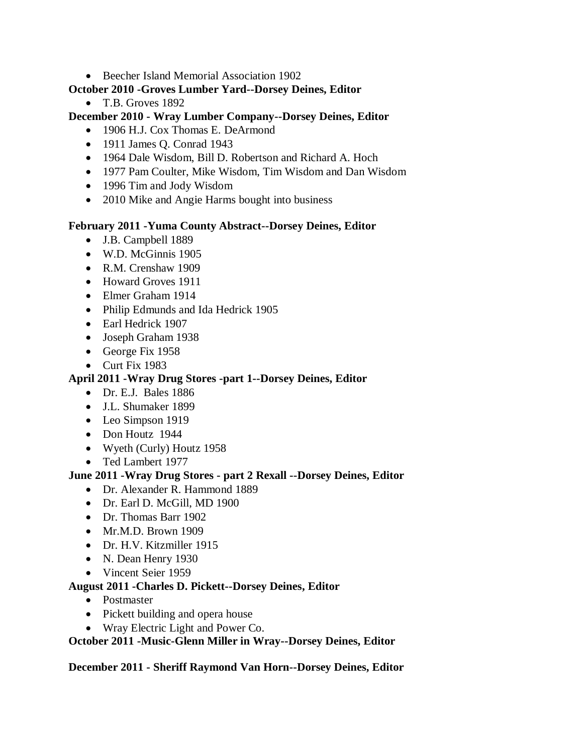Beecher Island Memorial Association 1902

#### **October 2010 -Groves Lumber Yard--Dorsey Deines, Editor**

• T.B. Groves 1892

#### **December 2010 - Wray Lumber Company--Dorsey Deines, Editor**

- 1906 H.J. Cox Thomas E. DeArmond
- 1911 James Q. Conrad 1943
- 1964 Dale Wisdom, Bill D. Robertson and Richard A. Hoch
- 1977 Pam Coulter, Mike Wisdom, Tim Wisdom and Dan Wisdom
- 1996 Tim and Jody Wisdom
- 2010 Mike and Angie Harms bought into business

#### **February 2011 -Yuma County Abstract--Dorsey Deines, Editor**

- J.B. Campbell 1889
- W.D. McGinnis 1905
- R.M. Crenshaw 1909
- Howard Groves 1911
- Elmer Graham 1914
- Philip Edmunds and Ida Hedrick 1905
- Earl Hedrick 1907
- Joseph Graham 1938
- George Fix 1958
- Curt Fix 1983

#### **April 2011 -Wray Drug Stores -part 1--Dorsey Deines, Editor**

- Dr. E.J. Bales 1886
- J.L. Shumaker 1899
- Leo Simpson 1919
- Don Houtz 1944
- Wyeth (Curly) Houtz 1958
- Ted Lambert 1977

#### **June 2011 -Wray Drug Stores - part 2 Rexall --Dorsey Deines, Editor**

- Dr. Alexander R. Hammond 1889
- Dr. Earl D. McGill, MD 1900
- Dr. Thomas Barr 1902
- Mr.M.D. Brown 1909
- Dr. H.V. Kitzmiller 1915
- N. Dean Henry 1930
- Vincent Seier 1959

#### **August 2011 -Charles D. Pickett--Dorsey Deines, Editor**

- Postmaster
- Pickett building and opera house
- Wray Electric Light and Power Co.

#### **October 2011 -Music-Glenn Miller in Wray--Dorsey Deines, Editor**

**December 2011 - Sheriff Raymond Van Horn--Dorsey Deines, Editor**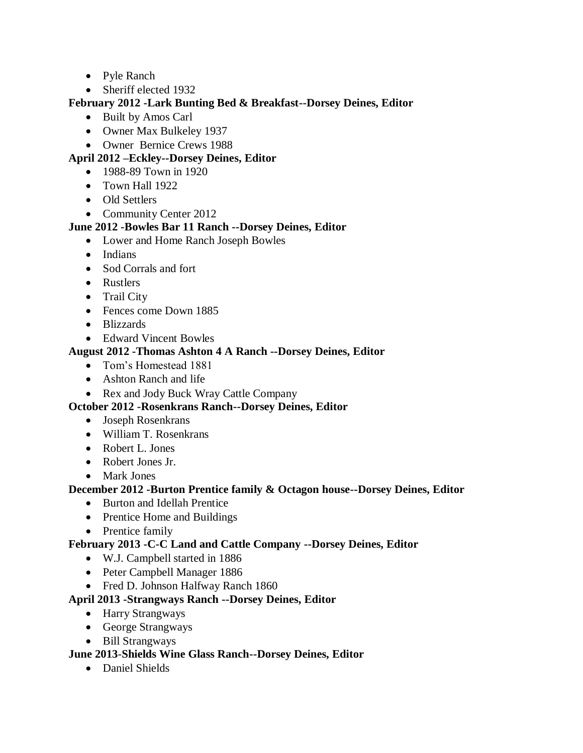- Pyle Ranch
- Sheriff elected 1932

#### **February 2012 -Lark Bunting Bed & Breakfast--Dorsey Deines, Editor**

- Built by Amos Carl
- Owner Max Bulkeley 1937
- Owner Bernice Crews 1988

#### **April 2012 –Eckley--Dorsey Deines, Editor**

- 1988-89 Town in 1920
- Town Hall 1922
- Old Settlers
- Community Center 2012

#### **June 2012 -Bowles Bar 11 Ranch --Dorsey Deines, Editor**

- Lower and Home Ranch Joseph Bowles
- Indians
- Sod Corrals and fort
- Rustlers
- Trail City
- Fences come Down 1885
- Blizzards
- Edward Vincent Bowles

#### **August 2012 -Thomas Ashton 4 A Ranch --Dorsey Deines, Editor**

- Tom's Homestead 1881
- Ashton Ranch and life
- Rex and Jody Buck Wray Cattle Company

#### **October 2012 -Rosenkrans Ranch--Dorsey Deines, Editor**

- Joseph Rosenkrans
- William T. Rosenkrans
- Robert L. Jones
- Robert Jones Jr.
- Mark Jones

#### **December 2012 -Burton Prentice family & Octagon house--Dorsey Deines, Editor**

- Burton and Idellah Prentice
- Prentice Home and Buildings
- Prentice family

#### **February 2013 -C-C Land and Cattle Company --Dorsey Deines, Editor**

- W.J. Campbell started in 1886
- Peter Campbell Manager 1886
- Fred D. Johnson Halfway Ranch 1860

# **April 2013 -Strangways Ranch --Dorsey Deines, Editor**

- Harry Strangways
- George Strangways
- Bill Strangways

#### **June 2013**-**Shields Wine Glass Ranch--Dorsey Deines, Editor**

• Daniel Shields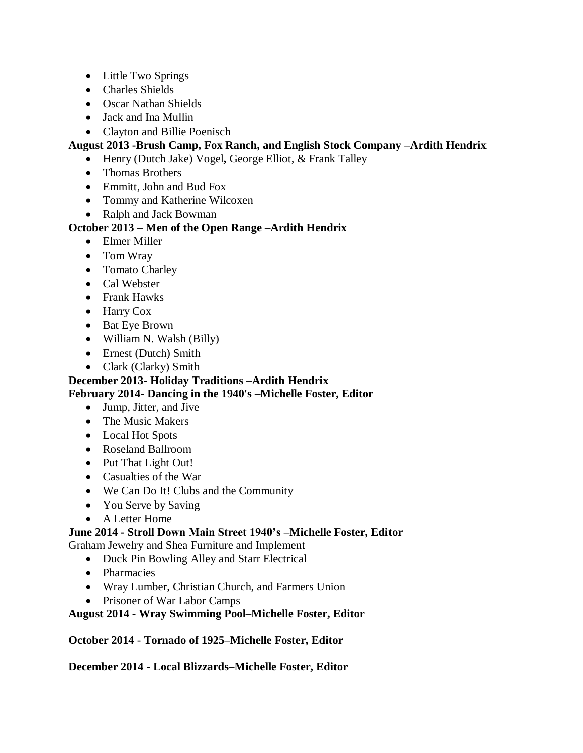- Little Two Springs
- Charles Shields
- Oscar Nathan Shields
- Jack and Ina Mullin
- Clayton and Billie Poenisch

#### **August 2013 -Brush Camp, Fox Ranch, and English Stock Company –Ardith Hendrix**

- Henry (Dutch Jake) Vogel**,** George Elliot, & Frank Talley
- Thomas Brothers
- Emmitt, John and Bud Fox
- Tommy and Katherine Wilcoxen
- Ralph and Jack Bowman

#### **October 2013 – Men of the Open Range –Ardith Hendrix**

- Elmer Miller
- Tom Wray
- Tomato Charley
- Cal Webster
- Frank Hawks
- Harry Cox
- Bat Eye Brown
- William N. Walsh (Billy)
- Ernest (Dutch) Smith
- Clark (Clarky) Smith

#### **December 2013- Holiday Traditions –Ardith Hendrix February 2014- Dancing in the 1940's –Michelle Foster, Editor**

- Jump, Jitter, and Jive
- The Music Makers
- Local Hot Spots
- Roseland Ballroom
- Put That Light Out!
- Casualties of the War
- We Can Do It! Clubs and the Community
- You Serve by Saving
- A Letter Home

# **June 2014 - Stroll Down Main Street 1940's –Michelle Foster, Editor**

Graham Jewelry and Shea Furniture and Implement

- Duck Pin Bowling Alley and Starr Electrical
- Pharmacies
- Wray Lumber, Christian Church, and Farmers Union
- Prisoner of War Labor Camps

#### **August 2014 - Wray Swimming Pool–Michelle Foster, Editor**

**October 2014** - **Tornado of 1925–Michelle Foster, Editor**

**December 2014 - Local Blizzards–Michelle Foster, Editor**